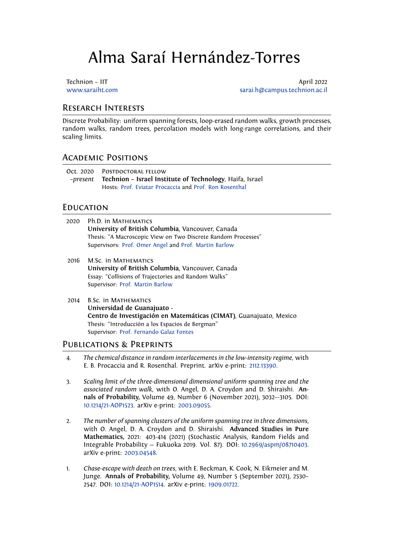# Alma Saraí Hernández-Torres

Technion – IIT and a structure of the structure of the structure of the April 2022 www.saraiht.com sarai.h@campus.technion.ac.il

### Research Interests

[Discrete Probability](http://www.saraiht.com): uniform spanning forests, loop-erasedr[andom walks, growth processes](mailto:sarai.h@campus.technion.ac.il), random walks, random trees, percolation models with long-range correlations, and their scaling limits.

## Academic Positions

| Oct. 2020 POSTDOCTORAL FELLOW                                     |
|-------------------------------------------------------------------|
| -present Technion - Israel Institute of Technology, Haifa, Israel |
| Hosts: Prof. Eviatar Procaccia and Prof. Ron Rosenthal            |

#### **EDUCATION**

- 2020 Ph.D. in M[athematics](https://sites.google.com/site/ebprocaccia/) **University of British Columbia**, Vancouver, Canada Thesis: "A Macroscopic View on Two Discrete Random Processes" Supervisors: Prof. Omer Angel and Prof. Martin Barlow
- 2016 M.Sc. in Mathematics **University of British Columbia**, Vancouver, Canada Essay: "Colli[sions of Trajectorie](http://www.math.ubc.ca/~angel/)s an[d Random Walks"](http://www.math.ubc.ca/~barlow/) Supervisor: Prof. Martin Barlow
- 2014 B.Sc. in MATHEMATICS **Universidad de Guanajuato - Centro de [Investigación en M](http://www.math.ubc.ca/~barlow/)atemáticas (CIMAT)**, Guanajuato, Mexico Thesis: "Introducción a los Espacios de Bergman" Supervisor: Prof. Fernando Galaz Fontes

## Publications & Preprints

- 4. *The chemical distance in random interlacements in the low-intensity regime*, with E. B. Procac[cia and R. Rosenthal. Prepr](http://www.cimat.mx/~galaz/)int. arXiv e-print: 2112.13390.
- 3. *Scaling limit of the three-dimensional dimensional uniform spanning tree and the associated random walk*, with O. Angel, D. A. Croydon and D. Shiraishi. **Annals of Probability,** Volume 49, Number 6 (November2[021\), 3032–](https://arxiv.org/abs/2112.13390)-3105. DOI: 10.1214/21-AOP1523. arXiv e-print: 2003.09055.
- 2. *The number of spanning clusters of the uniform spanning tree in three dimensions*, with O. Angel, D. A. Croydon and D. Shiraishi. **Advanced Studies in Pure [Mathematics,](https://doi.org/10.1214/21-AOP1523)** 2021: 403-414 (2[021\) \(Stocha](https://arxiv.org/abs/2003.09055)stic Analysis, Random Fields and Integrable Probability — Fukuoka 2019. Vol. 87). DOI: 10.2969/aspm/08710403. arXiv e-print: 2003.04548.
- 1. *Chase-escape with death on trees*, with E. Beckman, K. Cook, N. Eikmeier and M. Junge. **Annals of Probability,** Volume 49, Number 5 [\(September 2021\), 2530–](https://projecteuclid.org/proceedings/advanced-studies-in-pure-mathematics/Stochastic-Analysis-Random-Fields-and-Integrable-Probability--Fukuoka-2019/Chapter/The-number-of-spanning-clusters-of-the-uniform-spanning-tree/10.2969/aspm/08710403) 2547. DOI: 10.1[214/21-AOP15](https://arxiv.org/abs/2003.04548)14. arXiv e-print: 1909.01722.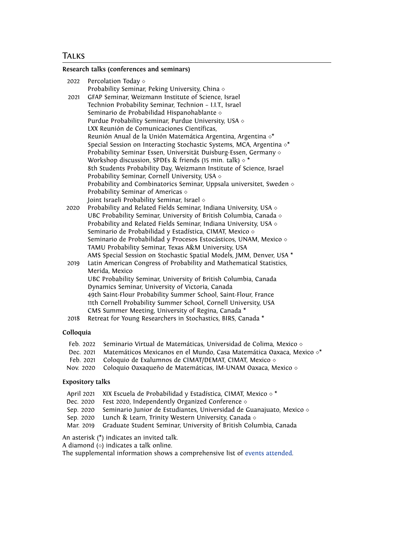#### **Research talks (conferences and seminars)**

| 2022 | Percolation Today $\diamond$                                                   |
|------|--------------------------------------------------------------------------------|
|      | Probability Seminar, Peking University, China $\diamond$                       |
| 2021 | GFAP Seminar, Weizmann Institute of Science, Israel                            |
|      | Technion Probability Seminar, Technion - I.I.T., Israel                        |
|      | Seminario de Probabilidad Hispanohablante $\diamond$                           |
|      | Purdue Probability Seminar, Purdue University, USA $\diamond$                  |
|      | LXX Reunión de Comunicaciones Científicas,                                     |
|      | Reunión Anual de la Unión Matemática Argentina, Argentina $\diamond^*$         |
|      | Special Session on Interacting Stochastic Systems, MCA, Argentina $\diamond^*$ |
|      | Probability Seminar Essen, Universität Duisburg-Essen, Germany $\diamond$      |
|      | Workshop discussion, SPDEs & friends (15 min. talk) $\diamond$ *               |
|      | 8th Students Probability Day, Weizmann Institute of Science, Israel            |
|      | Probability Seminar, Cornell University, USA $\diamond$                        |
|      | Probability and Combinatorics Seminar, Uppsala universitet, Sweden $\diamond$  |
|      | Probability Seminar of Americas $\diamond$                                     |
|      | Joint Israeli Probability Seminar, Israel $\diamond$                           |
| 2020 | Probability and Related Fields Seminar, Indiana University, USA $\diamond$     |
|      | UBC Probability Seminar, University of British Columbia, Canada $\diamond$     |
|      | Probability and Related Fields Seminar, Indiana University, USA $\diamond$     |
|      | Seminario de Probabilidad y Estadística, CIMAT, Mexico $\diamond$              |
|      | Seminario de Probabilidad y Procesos Estocásticos, UNAM, Mexico $\diamond$     |
|      |                                                                                |

AMS Special Session on Stochastic Spatial Models, JMM, Denver, USA \* 2019 Latin American Congress of Probability and Mathematical Statistics, Merida, Mexico UBC Probability Seminar, University of British Columbia, Canada Dynamics Seminar, University of Victoria, Canada 49th Saint-Flour Probability Summer School, Saint-Flour, France 11th Cornell Probability Summer School, Cornell University, USA CMS Summer Meeting, University of Regina, Canada \*

TAMU Probability Seminar, Texas A&M University, USA

2018 Retreat for Young Researchers in Stochastics, BIRS, Canada \*

#### **Colloquia**

- Feb. 2022 Seminario Virtual de Matemáticas, Universidad de Colima, Mexico *⋄*
- Dec. 2021 Matemáticos Mexicanos en el Mundo, Casa Matemática Oaxaca, Mexico *⋄*\*
- Feb. 2021 Coloquio de Exalumnos de CIMAT/DEMAT, CIMAT, Mexico *⋄*
- Coloquio Oaxaqueño de Matemáticas, IM-UNAM Oaxaca, Mexico *◇*

#### **Expository talks**

- April 2021 XIX Escuela de Probabilidad y Estadística, CIMAT, Mexico *◇* <sup>\*</sup><br>Dec. 2020 Fest 2020, Independently Organized Conference *◇*
- Dec. 2020 Fest 2020, Independently Organized Conference *⋄*
- Seminario Junior de Estudiantes, Universidad de Guanajuato, Mexico *◇*
- Sep. 2020 Lunch & Learn, Trinity Western University, Canada *⋄*
- Graduate Student Seminar, University of British Columbia, Canada

An asterisk (\*) indicates an invited talk.

A diamond (*⋄*) indicates a talk online.

The supplemental information shows a comprehensive list of events attended.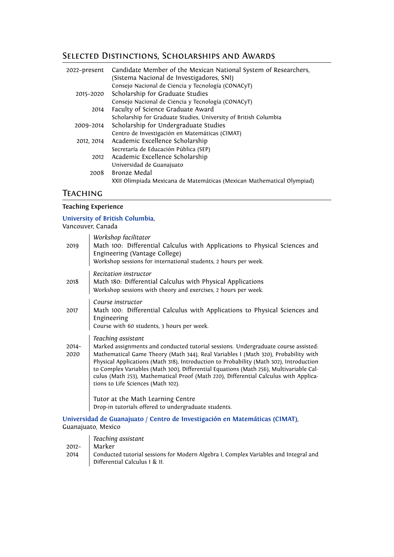# Selected Distinctions, Scholarships and Awards

| 2022–present | Candidate Member of the Mexican National System of Researchers,<br>(Sistema Nacional de Investigadores, SNI) |
|--------------|--------------------------------------------------------------------------------------------------------------|
|              | Consejo Nacional de Ciencia y Tecnología (CONACyT)                                                           |
| 2015-2020    | Scholarship for Graduate Studies                                                                             |
|              | Consejo Nacional de Ciencia y Tecnología (CONACyT)                                                           |
| 2014         | Faculty of Science Graduate Award                                                                            |
|              | Scholarship for Graduate Studies, University of British Columbia                                             |
| 2009-2014    | Scholarship for Undergraduate Studies                                                                        |
|              | Centro de Investigación en Matemáticas (CIMAT)                                                               |
| 2012, 2014   | Academic Excellence Scholarship                                                                              |
|              | Secretaría de Educación Pública (SEP)                                                                        |
| 2012         | Academic Excellence Scholarship                                                                              |
|              | Universidad de Guanajuato                                                                                    |
| 2008         | Bronze Medal                                                                                                 |
|              | XXII Olimpiada Mexicana de Matemáticas (Mexican Mathematical Olympiad)                                       |
|              |                                                                                                              |

## **TEACHING**

#### **Teaching Experience**

### **University of British Columbia**,

Vancouver, Canada

| 2019             | Workshop facilitator<br>Math 100: Differential Calculus with Applications to Physical Sciences and<br>Engineering (Vantage College)<br>Workshop sessions for international students, 2 hours per week.                                                                                                                                                                                                                                                                                                           |
|------------------|------------------------------------------------------------------------------------------------------------------------------------------------------------------------------------------------------------------------------------------------------------------------------------------------------------------------------------------------------------------------------------------------------------------------------------------------------------------------------------------------------------------|
| 2018             | Recitation instructor<br>Math 180: Differential Calculus with Physical Applications<br>Workshop sessions with theory and exercises, 2 hours per week.                                                                                                                                                                                                                                                                                                                                                            |
| 2017             | Course instructor<br>Math 100: Differential Calculus with Applications to Physical Sciences and<br>Engineering<br>Course with 60 students, 3 hours per week.                                                                                                                                                                                                                                                                                                                                                     |
| $2014 -$<br>2020 | Teaching assistant<br>Marked assignments and conducted tutorial sessions. Undergraduate course assisted:<br>Mathematical Game Theory (Math 344), Real Variables I (Math 320), Probability with<br>Physical Applications (Math 318), Introduction to Probability (Math 302), Introduction<br>to Complex Variables (Math 300), Differential Equations (Math 256), Multivariable Cal-<br>culus (Math 253), Mathematical Proof (Math 220), Differential Calculus with Applica-<br>tions to Life Sciences (Math 102). |
|                  | Tutor at the Math Learning Centre<br>Drop-in tutorials offered to undergraduate students.                                                                                                                                                                                                                                                                                                                                                                                                                        |

#### **Universidad de Guanajuato** / **Centro de Investigación en Matemáticas (CIMAT)**, Guanajuato, Mexico

|          | Teaching assistant                                                                                                    |
|----------|-----------------------------------------------------------------------------------------------------------------------|
| $2012 -$ | Marker                                                                                                                |
| 2014     | Conducted tutorial sessions for Modern Algebra I, Complex Variables and Integral and<br>Differential Calculus I & II. |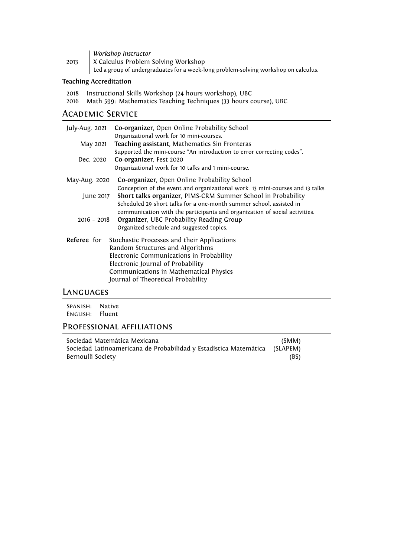|      | Workshop Instructor                                                                 |
|------|-------------------------------------------------------------------------------------|
| 2013 | X Calculus Problem Solving Workshop                                                 |
|      | Led a group of undergraduates for a week-long problem-solving workshop on calculus. |

## **Teaching Accreditation**

|  | 2018 Instructional Skills Workshop (24 hours workshop), UBC |  |  |  |  |  |  |
|--|-------------------------------------------------------------|--|--|--|--|--|--|
|--|-------------------------------------------------------------|--|--|--|--|--|--|

2016 Math 599: Mathematics Teaching Techniques (33 hours course), UBC

# Academic Service

| Co-organizer, Open Online Probability School<br>Organizational work for 10 mini-courses.                                                                                                                                                                                                                                                                                                                                         |
|----------------------------------------------------------------------------------------------------------------------------------------------------------------------------------------------------------------------------------------------------------------------------------------------------------------------------------------------------------------------------------------------------------------------------------|
| Teaching assistant, Mathematics Sin Fronteras                                                                                                                                                                                                                                                                                                                                                                                    |
| Supported the mini-course "An introduction to error correcting codes".<br>Co-organizer, Fest 2020<br>Dec. 2020<br>Organizational work for 10 talks and 1 mini-course.                                                                                                                                                                                                                                                            |
| Co-organizer, Open Online Probability School                                                                                                                                                                                                                                                                                                                                                                                     |
| Conception of the event and organizational work. 13 mini-courses and 13 talks.<br>Short talks organizer, PIMS-CRM Summer School in Probability<br>June 2017<br>Scheduled 29 short talks for a one-month summer school, assisted in<br>communication with the participants and organization of social activities.<br><b>Organizer, UBC Probability Reading Group</b><br>$2016 - 2018$<br>Organized schedule and suggested topics. |
| Stochastic Processes and their Applications<br>Random Structures and Algorithms<br>Electronic Communications in Probability<br>Electronic Journal of Probability<br>Communications in Mathematical Physics<br>Journal of Theoretical Probability                                                                                                                                                                                 |
|                                                                                                                                                                                                                                                                                                                                                                                                                                  |

## Languages

Spanish: Native English: Fluent

## Professional affiliations

| Sociedad Matemática Mexicana                                               | (SMM) |
|----------------------------------------------------------------------------|-------|
| Sociedad Latinoamericana de Probabilidad y Estadística Matemática (SLAPEM) |       |
| Bernoulli Society                                                          | (BS)  |